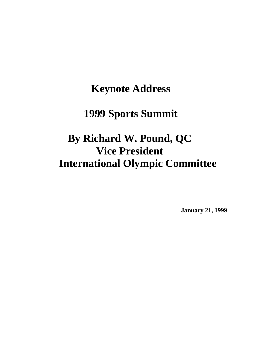## **Keynote Address**

## **1999 Sports Summit**

## **By Richard W. Pound, QC Vice President International Olympic Committee**

**January 21, 1999**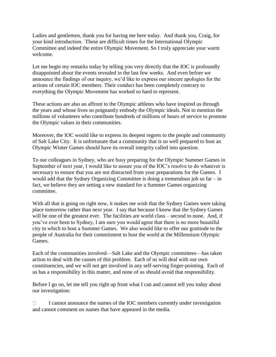Ladies and gentlemen, thank you for having me here today. And thank you, Craig, for your kind introduction. These are difficult times for the International Olympic Committee and indeed the entire Olympic Movement. So I truly appreciate your warm welcome.

Let me begin my remarks today by telling you very directly that the IOC is profoundly disappointed about the events revealed in the last few weeks. And even before we announce the findings of our inquiry, we'd like to express our sincere apologies for the actions of certain IOC members. Their conduct has been completely contrary to everything the Olympic Movement has worked so hard to represent.

These actions are also an affront to the Olympic athletes who have inspired us through the years and whose lives so poignantly embody the Olympic ideals. Not to mention the millions of volunteers who contribute hundreds of millions of hours of service to promote the Olympic values in their communities.

Moreover, the IOC would like to express its deepest regrets to the people and community of Salt Lake City. It is unfortunate that a community that is so well prepared to host an Olympic Winter Games should have its overall integrity called into question.

To our colleagues in Sydney, who are busy preparing for the Olympic Summer Games in September of next year, I would like to assure you of the IOC's resolve to do whatever is necessary to ensure that you are not distracted from your preparations for the Games. I would add that the Sydney Organizing Committee is doing a tremendous job so far – in fact, we believe they are setting a new standard for a Summer Games organizing committee.

With all that is going on right now, it makes me wish that the Sydney Games were taking place tomorrow rather than next year. I say that because I know that the Sydney Games will be one of the greatest ever. The facilities are world class – second to none. And, if you've ever been to Sydney, I am sure you would agree that there is no more beautiful city in which to host a Summer Games. We also would like to offer our gratitude to the people of Australia for their commitment to host the world at the Millennium Olympic Games.

Each of the communities involved—Salt Lake and the Olympic committees—has taken action to deal with the causes of this problem. Each of us will deal with our own constituencies, and we will not get involved in any self-serving finger-pointing. Each of us has a responsibility in this matter, and none of us should avoid that responsibility.

Before I go on, let me tell you right up front what I can and cannot tell you today about our investigation:

I cannot announce the names of the IOC members currently under investigation  $\Box$ and cannot comment on names that have appeared in the media.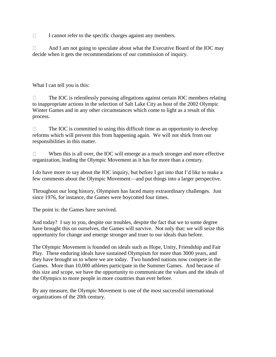I cannot refer to the specific charges against any members.  $\Box$ 

And I am not going to speculate about what the Executive Board of the IOC may  $\Box$ decide when it gets the recommendations of our commission of inquiry.

What I can tell you is this:

 $\Box$ The IOC is relentlessly pursuing allegations against certain IOC members relating to inappropriate actions in the selection of Salt Lake City as host of the 2002 Olympic Winter Games and in any other circumstances which come to light as a result of this process.

 $\Box$ The IOC is committed to using this difficult time as an opportunity to develop reforms which will prevent this from happening again. We will not shirk from our responsibilities in this matter.

When this is all over, the IOC will emerge as a much stronger and more effective  $\Box$ organization, leading the Olympic Movement as it has for more than a century.

I do have more to say about the IOC inquiry, but before I get into that I'd like to make a few comments about the Olympic Movement—and put things into a larger perspective.

Throughout our long history, Olympism has faced many extraordinary challenges. Just since 1976, for instance, the Games were boycotted four times.

The point is: the Games have survived.

And today? I say to you, despite our troubles, despite the fact that we to some degree have brought this on ourselves, the Games will survive. Not only that: we will seize this opportunity for change and emerge stronger and truer to our ideals than before.

The Olympic Movement is founded on ideals such as Hope, Unity, Friendship and Fair Play. These enduring ideals have sustained Olympism for more than 3000 years, and they have brought us to where we are today. Two hundred nations now compete in the Games. More than 10,000 athletes participate in the Summer Games. And because of this size and scope, we have the opportunity to communicate the values and the ideals of the Olympics to more people in more countries than ever before.

By any measure, the Olympic Movement is one of the most successful international organizations of the 20th century.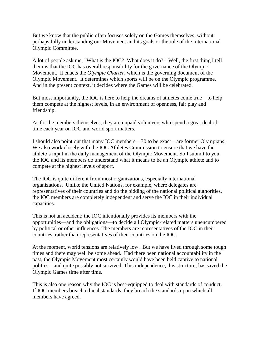But we know that the public often focuses solely on the Games themselves, without perhaps fully understanding our Movement and its goals or the role of the International Olympic Committee.

A lot of people ask me, "What is the IOC? What does it do?" Well, the first thing I tell them is that the IOC has overall responsibility for the governance of the Olympic Movement. It enacts the *Olympic Charter*, which is the governing document of the Olympic Movement. It determines which sports will be on the Olympic programme. And in the present context, it decides where the Games will be celebrated.

But most importantly, the IOC is here to help the dreams of athletes come true—to help them compete at the highest levels, in an environment of openness, fair play and friendship.

As for the members themselves, they are unpaid volunteers who spend a great deal of time each year on IOC and world sport matters.

I should also point out that many IOC members—30 to be exact—are former Olympians. We also work closely with the IOC Athletes Commission to ensure that we have the athlete's input in the daily management of the Olympic Movement. So I submit to you the IOC and its members do understand what it means to be an Olympic athlete and to compete at the highest levels of sport.

The IOC is quite different from most organizations, especially international organizations. Unlike the United Nations, for example, where delegates are representatives of their countries and do the bidding of the national political authorities, the IOC members are completely independent and serve the IOC in their individual capacities.

This is not an accident; the IOC intentionally provides its members with the opportunities—and the obligations—to decide all Olympic-related matters unencumbered by political or other influences. The members are representatives of the IOC in their countries, rather than representatives of their countries on the IOC.

At the moment, world tensions are relatively low. But we have lived through some tough times and there may well be some ahead. Had there been national accountability in the past, the Olympic Movement most certainly would have been held captive to national politics—and quite possibly not survived. This independence, this structure, has saved the Olympic Games time after time.

This is also one reason why the IOC is best-equipped to deal with standards of conduct. If IOC members breach ethical standards, they breach the standards upon which all members have agreed.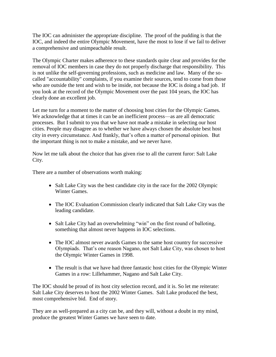The IOC can administer the appropriate discipline. The proof of the pudding is that the IOC, and indeed the entire Olympic Movement, have the most to lose if we fail to deliver a comprehensive and unimpeachable result.

The Olympic Charter makes adherence to these standards quite clear and provides for the removal of IOC members in case they do not properly discharge that responsibility. This is not unlike the self-governing professions, such as medicine and law. Many of the socalled "accountability" complaints, if you examine their sources, tend to come from those who are outside the tent and wish to be inside, not because the IOC is doing a bad job. If you look at the record of the Olympic Movement over the past 104 years, the IOC has clearly done an excellent job.

Let me turn for a moment to the matter of choosing host cities for the Olympic Games. We acknowledge that at times it can be an inefficient process—as are all democratic processes. But I submit to you that we have not made a mistake in selecting our host cities. People may disagree as to whether we have always chosen the absolute best host city in every circumstance. And frankly, that's often a matter of personal opinion. But the important thing is not to make a mistake, and we never have.

Now let me talk about the choice that has given rise to all the current furor: Salt Lake City.

There are a number of observations worth making:

- Salt Lake City was the best candidate city in the race for the 2002 Olympic Winter Games.
- The IOC Evaluation Commission clearly indicated that Salt Lake City was the leading candidate.
- Salt Lake City had an overwhelming "win" on the first round of balloting, something that almost never happens in IOC selections.
- The IOC almost never awards Games to the same host country for successive Olympiads. That's one reason Nagano, not Salt Lake City, was chosen to host the Olympic Winter Games in 1998.
- The result is that we have had three fantastic host cities for the Olympic Winter Games in a row: Lillehammer, Nagano and Salt Lake City.

The IOC should be proud of its host city selection record, and it is. So let me reiterate: Salt Lake City deserves to host the 2002 Winter Games. Salt Lake produced the best, most comprehensive bid. End of story.

They are as well-prepared as a city can be, and they will, without a doubt in my mind, produce the greatest Winter Games we have seen to date.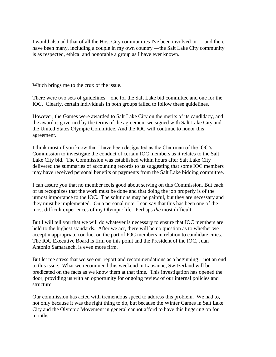I would also add that of all the Host City communities I've been involved in — and there have been many, including a couple in my own country —the Salt Lake City community is as respected, ethical and honorable a group as I have ever known.

Which brings me to the crux of the issue.

There were two sets of guidelines—one for the Salt Lake bid committee and one for the IOC. Clearly, certain individuals in both groups failed to follow these guidelines.

However, the Games were awarded to Salt Lake City on the merits of its candidacy, and the award is governed by the terms of the agreement we signed with Salt Lake City and the United States Olympic Committee. And the IOC will continue to honor this agreement.

I think most of you know that I have been designated as the Chairman of the IOC's Commission to investigate the conduct of certain IOC members as it relates to the Salt Lake City bid. The Commission was established within hours after Salt Lake City delivered the summaries of accounting records to us suggesting that some IOC members may have received personal benefits or payments from the Salt Lake bidding committee.

I can assure you that no member feels good about serving on this Commission. But each of us recognizes that the work must be done and that doing the job properly is of the utmost importance to the IOC. The solutions may be painful, but they are necessary and they must be implemented. On a personal note, I can say that this has been one of the most difficult experiences of my Olympic life. Perhaps *the* most difficult.

But I will tell you that we will do whatever is necessary to ensure that IOC members are held to the highest standards. After we act, there will be no question as to whether we accept inappropriate conduct on the part of IOC members in relation to candidate cities. The IOC Executive Board is firm on this point and the President of the IOC, Juan Antonio Samaranch, is even more firm.

But let me stress that we see our report and recommendations as a beginning—not an end to this issue. What we recommend this weekend in Lausanne, Switzerland will be predicated on the facts as we know them at that time. This investigation has opened the door, providing us with an opportunity for ongoing review of our internal policies and structure.

Our commission has acted with tremendous speed to address this problem. We had to, not only because it was the right thing to do, but because the Winter Games in Salt Lake City and the Olympic Movement in general cannot afford to have this lingering on for months.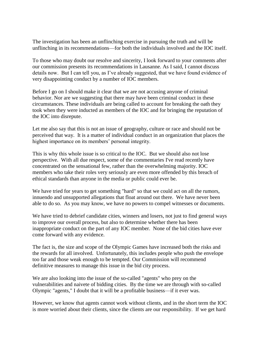The investigation has been an unflinching exercise in pursuing the truth and will be unflinching in its recommendations—for both the individuals involved and the IOC itself.

To those who may doubt our resolve and sincerity, I look forward to your comments after our commission presents its recommendations in Lausanne. As I said, I cannot discuss details now. But I can tell you, as I've already suggested, that we have found evidence of very disappointing conduct by a number of IOC members.

Before I go on I should make it clear that we are not accusing anyone of criminal behavior. Nor are we suggesting that there may have been criminal conduct in these circumstances. These individuals are being called to account for breaking the oath they took when they were inducted as members of the IOC and for bringing the reputation of the IOC into disrepute.

Let me also say that this is not an issue of geography, culture or race and should not be perceived that way. It is a matter of individual conduct in an organization that places the highest importance on its members' personal integrity.

This is why this whole issue is so critical to the IOC. But we should also not lose perspective. With all due respect, some of the commentaries I've read recently have concentrated on the sensational few, rather than the overwhelming majority. IOC members who take their roles very seriously are even more offended by this breach of ethical standards than anyone in the media or public could ever be.

We have tried for years to get something "hard" so that we could act on all the rumors, innuendo and unsupported allegations that float around out there. We have never been able to do so. As you may know, we have no powers to compel witnesses or documents.

We have tried to debrief candidate cities, winners and losers, not just to find general ways to improve our overall process, but also to determine whether there has been inappropriate conduct on the part of any IOC member. None of the bid cities have ever come forward with any evidence.

The fact is, the size and scope of the Olympic Games have increased both the risks and the rewards for all involved. Unfortunately, this includes people who push the envelope too far and those weak enough to be tempted. Our Commission will recommend definitive measures to manage this issue in the bid city process.

We are also looking into the issue of the so-called "agents" who prey on the vulnerabilities and naivete of bidding cities. By the time we are through with so-called Olympic "agents," I doubt that it will be a profitable business—if it ever was.

However, we know that agents cannot work without clients, and in the short term the IOC is more worried about their clients, since the clients are our responsibility. If we get hard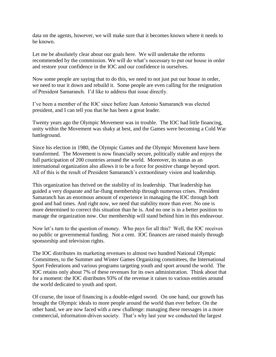data on the agents, however, we will make sure that it becomes known where it needs to be known.

Let me be absolutely clear about our goals here. We will undertake the reforms recommended by the commission. We will do what's necessary to put our house in order and restore your confidence in the IOC and our confidence in ourselves.

Now some people are saying that to do this, we need to not just put our house in order, we need to tear it down and rebuild it. Some people are even calling for the resignation of President Samaranch. I'd like to address that issue directly.

I've been a member of the IOC since before Juan Antonio Samaranch was elected president, and I can tell you that he has been a great leader.

Twenty years ago the Olympic Movement was in trouble. The IOC had little financing, unity within the Movement was shaky at best, and the Games were becoming a Cold War battleground.

Since his election in 1980, the Olympic Games and the Olympic Movement have been transformed. The Movement is now financially secure, politically stable and enjoys the full participation of 200 countries around the world. Moreover, its status as an international organization also allows it to be a force for positive change beyond sport. All of this is the result of President Samaranch's extraordinary vision and leadership.

This organization has thrived on the stability of its leadership. That leadership has guided a very disparate and far-flung membership through numerous crises. President Samaranch has an enormous amount of experience in managing the IOC through both good and bad times. And right now, we need that stability more than ever. No one is more determined to correct this situation than he is. And no one is in a better position to manage the organization now. Our membership will stand behind him in this endeavour.

Now let's turn to the question of money. Who pays for all this? Well, the IOC receives no public or governmental funding. Not a cent. IOC finances are raised mainly through sponsorship and television rights.

The IOC distributes its marketing revenues to almost two hundred National Olympic Committees, to the Summer and Winter Games Organizing committees, the International Sport Federations and various programs targeting youth and sport around the world. The IOC retains only about 7% of these revenues for its own administration. Think about that for a moment: the IOC distributes 93% of the revenue it raises to various entities around the world dedicated to youth and sport.

Of course, the issue of financing is a double-edged sword. On one hand, our growth has brought the Olympic ideals to more people around the world than ever before. On the other hand, we are now faced with a new challenge: managing these messages in a more commercial, information-driven society. That's why last year we conducted the largest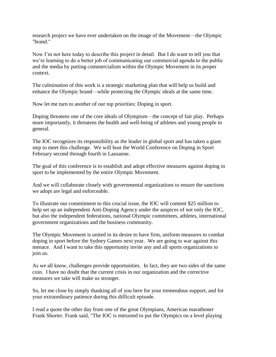research project we have ever undertaken on the image of the Movement—the Olympic "brand."

Now I'm not here today to describe this project in detail. But I do want to tell you that we're learning to do a better job of communicating our commercial agenda to the public and the media by putting commercialism within the Olympic Movement in its proper context.

The culmination of this work is a strategic marketing plan that will help us build and enhance the Olympic brand—while protecting the Olympic ideals at the same time.

Now let me turn to another of our top priorities: Doping in sport.

Doping threatens one of the core ideals of Olympism—the concept of fair play. Perhaps more importantly, it threatens the health and well-being of athletes and young people in general.

The IOC recognizes its responsibility as *the* leader in global sport and has taken a giant step to meet this challenge. We will host the World Conference on Doping in Sport February second through fourth in Lausanne.

The goal of this conference is to establish and adopt effective measures against doping in sport to be implemented by the entire Olympic Movement.

And we will collaborate closely with governmental organizations to ensure the sanctions we adopt are legal and enforceable.

To illustrate our commitment to this crucial issue, the IOC will commit \$25 million to help set up an independent Anti-Doping Agency under the auspices of not only the IOC, but also the independent federations, national Olympic committees, athletes, international government organizations and the business community.

The Olympic Movement is united in its desire to have firm, uniform measures to combat doping in sport before the Sydney Games next year. We are going to war against this menace. And I want to take this opportunity invite any and all sports organizations to join us.

As we all know, challenges provide opportunities. In fact, they are two sides of the same coin. I have no doubt that the current crisis in our organization and the corrective measures we take will make us stronger.

So, let me close by simply thanking all of you here for your tremendous support, and for your extraordinary patience during this difficult episode.

I read a quote the other day from one of the great Olympians, American marathoner Frank Shorter. Frank said, "The IOC is entrusted to put the Olympics on a level playing